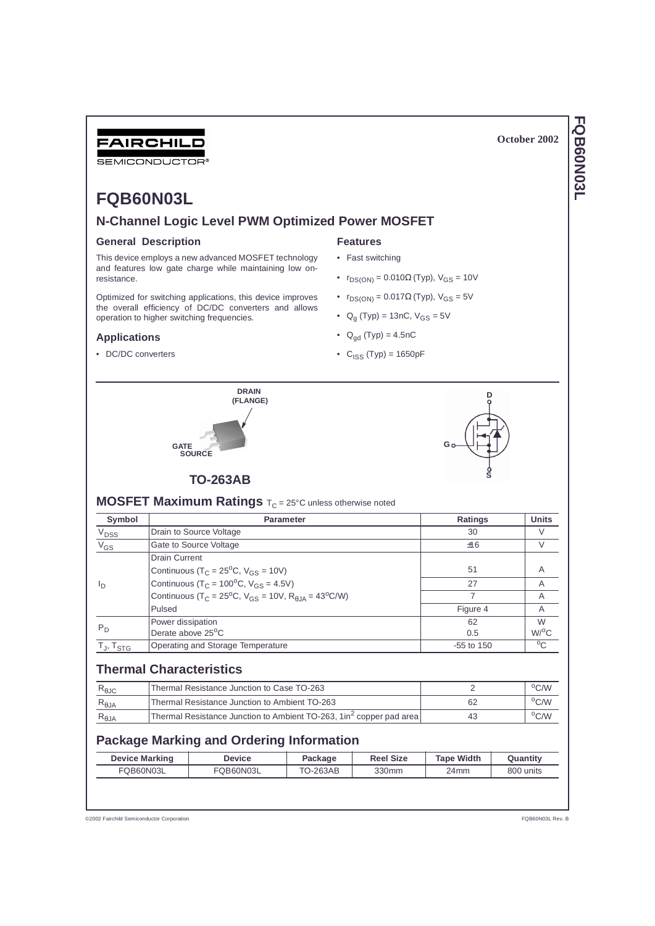# FAIRCHILD

SEMICONDUCTOR

# FQB60N03L

# N-Channel Logic Level PWM Optimized Power MOSFET

### **General Description**

This device employs a new advanced MOSFET technology and features low gate charge while maintaining low onresistance.

Optimized for switching applications, this device improves the overall efficiency of DC/DC converters and allows operation to higher switching frequencies.

## **Applications**

• DC/DC converters

# **Features**

- Fast switching
- $r_{DS(ON)} = 0.010\Omega$  (Typ),  $V_{GS} = 10V$
- $r_{DS(ON)} = 0.017 \Omega$  (Typ),  $V_{GS} = 5V$
- $Q_g$  (Typ) = 13nC,  $V_{GS} = 5V$
- $Q_{qd}$  (Typ) = 4.5nC
- $C_{ISS} (Type) = 1650pF$

(FLANGE)



# **TO-263AB**

GATE<br>SOURCE

**MOSFET Maximum Ratings** T<sub>C</sub> = 25°C unless otherwise noted

**DRAIN** 

| Symbol               | <b>Parameter</b>                                                                 | Ratings        | <b>Units</b>       |
|----------------------|----------------------------------------------------------------------------------|----------------|--------------------|
| $V_{DSS}$            | Drain to Source Voltage                                                          | 30             | V                  |
| $V_{GS}$             | Gate to Source Voltage                                                           | ±16            | V                  |
|                      | Drain Current                                                                    |                |                    |
|                      | Continuous ( $T_C = 25^{\circ}C$ , $V_{GS} = 10V$ )                              | 51             | A                  |
| ΙD                   | Continuous ( $T_C = 100^{\circ}$ C, $V_{GS} = 4.5V$ )                            | 27             | A                  |
|                      | Continuous ( $T_C = 25^{\circ}C$ , $V_{GS} = 10V$ , $R_{A,IA} = 43^{\circ}C/W$ ) |                | A                  |
|                      | <b>Pulsed</b>                                                                    | Figure 4       | A                  |
|                      | Power dissipation                                                                | 62             | W                  |
| $P_D$                | Derate above 25 <sup>o</sup> C                                                   | 0.5            | $W$ / $^{\circ}$ C |
| Гյ, T <sub>STG</sub> | Operating and Storage Temperature                                                | $-55$ to $150$ | $^{\circ}$ C       |

# **Thermal Characteristics**

| $R_{\theta \text{JC}}$ | Thermal Resistance Junction to Case TO-263                                       |     | $\rm ^{o}$ C/W |
|------------------------|----------------------------------------------------------------------------------|-----|----------------|
| $R_{\theta$ JA         | Thermal Resistance Junction to Ambient TO-263                                    | -62 | $^{\circ}$ C/W |
| $R_{\theta$ JA         | Thermal Resistance Junction to Ambient TO-263, 1 in <sup>2</sup> copper pad area | 43  | °C/W           |

# **Package Marking and Ordering Information**

| <b>Device Marking</b> | Device    | Package  | <b>Reel Size</b> | <b>Tape Width</b> | Quantitv  |
|-----------------------|-----------|----------|------------------|-------------------|-----------|
| FQB60N03L             | FQB60N03L | TO-263AB | 330mm            | 24mm              | 800 units |

@2002 Fairchild Semiconductor Corporation

# FQB60N03L

October 2002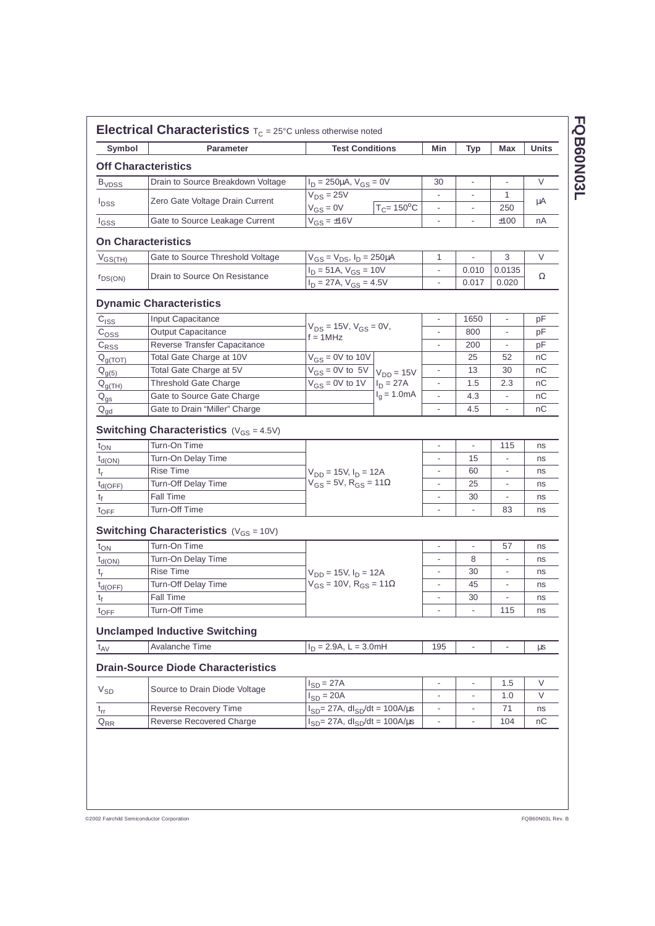| Symbol                                                                                                                                         | <b>Parameter</b>                                     | <b>Test Conditions</b>                                                      |                            | Min                      | <b>Typ</b>               | Max                          | <b>Units</b> |
|------------------------------------------------------------------------------------------------------------------------------------------------|------------------------------------------------------|-----------------------------------------------------------------------------|----------------------------|--------------------------|--------------------------|------------------------------|--------------|
|                                                                                                                                                | <b>Off Characteristics</b>                           |                                                                             |                            |                          |                          |                              |              |
| <b>B</b> <sub>VDSS</sub>                                                                                                                       | Drain to Source Breakdown Voltage                    | $I_D = 250 \mu A$ , $V_{GS} = 0V$                                           |                            | 30                       | $\blacksquare$           | $\qquad \qquad \blacksquare$ | $\vee$       |
|                                                                                                                                                |                                                      | $V_{DS}$ = 25V                                                              |                            | $\overline{\phantom{a}}$ |                          | 1                            |              |
| <b>I</b> <sub>DSS</sub>                                                                                                                        | Zero Gate Voltage Drain Current                      | $V_{GS} = 0V$                                                               | $T_C = 150$ <sup>o</sup> C | $\overline{\phantom{m}}$ | ٠                        | 250                          | μA           |
| $I_{GSS}$                                                                                                                                      | Gate to Source Leakage Current                       | $V_{GS} = \frac{1}{116V}$                                                   |                            | $\overline{\phantom{a}}$ | $\overline{\phantom{a}}$ | ±100                         | nA           |
|                                                                                                                                                | <b>On Characteristics</b>                            |                                                                             |                            |                          |                          |                              |              |
| $V_{GS(TH)}$                                                                                                                                   | Gate to Source Threshold Voltage                     | $V_{GS} = V_{DS}$ , $I_D = 250 \mu A$                                       |                            | 1                        |                          | 3                            | V            |
|                                                                                                                                                |                                                      | $I_D = 51A, V_{GS} = 10V$<br>$I_D = 27A, V_{GS} = 4.5V$                     |                            | $\blacksquare$           | 0.010                    | 0.0135                       |              |
| $r_{DS(ON)}$                                                                                                                                   | Drain to Source On Resistance                        |                                                                             |                            | $\blacksquare$           | 0.017                    | 0.020                        | Ω            |
|                                                                                                                                                | <b>Dynamic Characteristics</b>                       |                                                                             |                            |                          |                          |                              |              |
| C <sub>ISS</sub>                                                                                                                               | Input Capacitance                                    |                                                                             |                            |                          | 1650                     | $\blacksquare$               | рF           |
| $\mathrm{c}_{\mathrm{oss}}$                                                                                                                    | Output Capacitance                                   | $V_{DS} = 15V$ , $V_{GS} = 0V$ ,                                            |                            |                          | 800                      |                              | рF           |
| $C_{RSS}$                                                                                                                                      | Reverse Transfer Capacitance                         | $f = 1$ MHz                                                                 |                            | $\overline{a}$           | 200                      |                              | рF           |
| $Q_{g(TOT)}$                                                                                                                                   | Total Gate Charge at 10V                             | $V_{GS} = 0V$ to 10V                                                        |                            |                          | 25                       | 52                           | nС           |
| $Q_{g(5)}$                                                                                                                                     | Total Gate Charge at 5V                              | $\overline{V_{GS}} = 0V$ to 5V $V_{DD} = 15V$                               |                            |                          | 13                       | 30                           | пC           |
| $Q_{g(TH)}$                                                                                                                                    | <b>Threshold Gate Charge</b>                         | $V_{GS} = 0V$ to 1V                                                         | $I_D = 27A$                |                          | 1.5                      | 2.3                          | nС           |
| $\mathsf{Q}_{\mathsf{gs}}$                                                                                                                     | Gate to Source Gate Charge                           |                                                                             | $I_q = 1.0mA$              |                          | 4.3                      |                              | nС           |
| $Q_{\text{gd}}$                                                                                                                                | Gate to Drain "Miller" Charge                        |                                                                             |                            |                          | 4.5                      |                              | пC           |
|                                                                                                                                                | <b>Switching Characteristics</b> ( $V_{GS} = 4.5V$ ) |                                                                             |                            |                          |                          |                              |              |
| $t_{ON}$                                                                                                                                       | Turn-On Time                                         |                                                                             |                            | $\overline{\phantom{a}}$ | $\overline{\phantom{a}}$ | 115                          | ns           |
| $t_{d(ON)}$                                                                                                                                    | Turn-On Delay Time                                   |                                                                             |                            | $\overline{\phantom{a}}$ | 15                       | $\overline{\phantom{a}}$     | ns           |
| $t_{r}$                                                                                                                                        | <b>Rise Time</b>                                     | $V_{DD} = 15V, I_D = 12A$                                                   |                            | $\overline{\phantom{a}}$ | 60                       |                              | ns           |
| $t_{d(OFF)}$                                                                                                                                   | Turn-Off Delay Time                                  | $V_{GS}$ = 5V, R <sub>GS</sub> = 11 $\Omega$                                |                            |                          | 25                       |                              | ns           |
|                                                                                                                                                |                                                      |                                                                             |                            | $\overline{\phantom{a}}$ | 30                       |                              |              |
|                                                                                                                                                | Fall Time                                            |                                                                             |                            |                          |                          |                              | ns           |
|                                                                                                                                                | Turn-Off Time                                        |                                                                             |                            | $\blacksquare$           | $\overline{\phantom{a}}$ | 83                           | ns           |
|                                                                                                                                                | <b>Switching Characteristics</b> ( $V_{GS} = 10V$ )  |                                                                             |                            |                          |                          |                              |              |
|                                                                                                                                                | Turn-On Time                                         |                                                                             |                            | $\overline{\phantom{a}}$ | $\overline{\phantom{a}}$ | 57                           | ns           |
|                                                                                                                                                | Turn-On Delay Time                                   |                                                                             |                            | $\overline{\phantom{a}}$ | 8                        | $\overline{\phantom{a}}$     | ns           |
|                                                                                                                                                | <b>Rise Time</b>                                     |                                                                             |                            | $\overline{\phantom{a}}$ | 30                       | $\overline{\phantom{a}}$     | ns           |
|                                                                                                                                                | <b>Turn-Off Delay Time</b>                           | $V_{DD} = 15V, I_D = 12A$<br>$V_{GS} = 10V$ , R <sub>GS</sub> = 11 $\Omega$ |                            | $\blacksquare$           | 45                       | $\overline{\phantom{a}}$     | ns           |
|                                                                                                                                                | Fall Time                                            |                                                                             |                            |                          | 30                       | $\overline{\phantom{a}}$     | ns           |
|                                                                                                                                                | Turn-Off Time                                        |                                                                             |                            |                          | $\overline{\phantom{a}}$ | 115                          | ns           |
| t <sub>f</sub><br>$t_{\text{OFF}}$<br>$t_{ON}$<br>$t_{\text{d}(\text{ON})}$<br>t <sub>r</sub><br>$t_{d(OFF)}$<br>t <sub>f</sub><br><b>LOFF</b> |                                                      |                                                                             |                            |                          |                          |                              |              |
|                                                                                                                                                | <b>Unclamped Inductive Switching</b>                 |                                                                             |                            |                          | $\overline{\phantom{a}}$ |                              |              |
|                                                                                                                                                | Avalanche Time                                       | $I_D = 2.9A, L = 3.0mH$                                                     |                            | 195                      |                          | $\overline{\phantom{a}}$     | μs           |
|                                                                                                                                                | <b>Drain-Source Diode Characteristics</b>            |                                                                             |                            | $\overline{\phantom{a}}$ | $\overline{\phantom{a}}$ | 1.5                          | V            |
|                                                                                                                                                | Source to Drain Diode Voltage                        | $I_{SD} = 27A$<br>$I_{SD} = 20A$                                            |                            | $\overline{\phantom{a}}$ | ٠                        | 1.0                          | V            |
| $t_{AV}$<br>$V_{SD}$<br>$t_{rr}$                                                                                                               | Reverse Recovery Time                                | $I_{SD}$ = 27A, dl <sub>SD</sub> /dt = 100A/µs                              |                            | $\overline{\phantom{a}}$ | ۰                        | 71                           | ns           |

FQB60N03L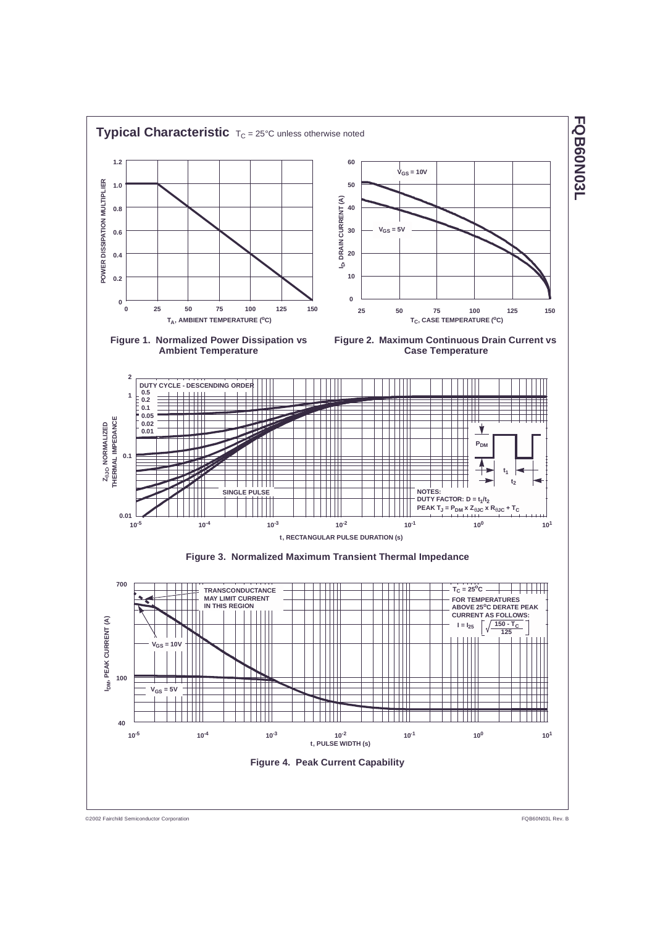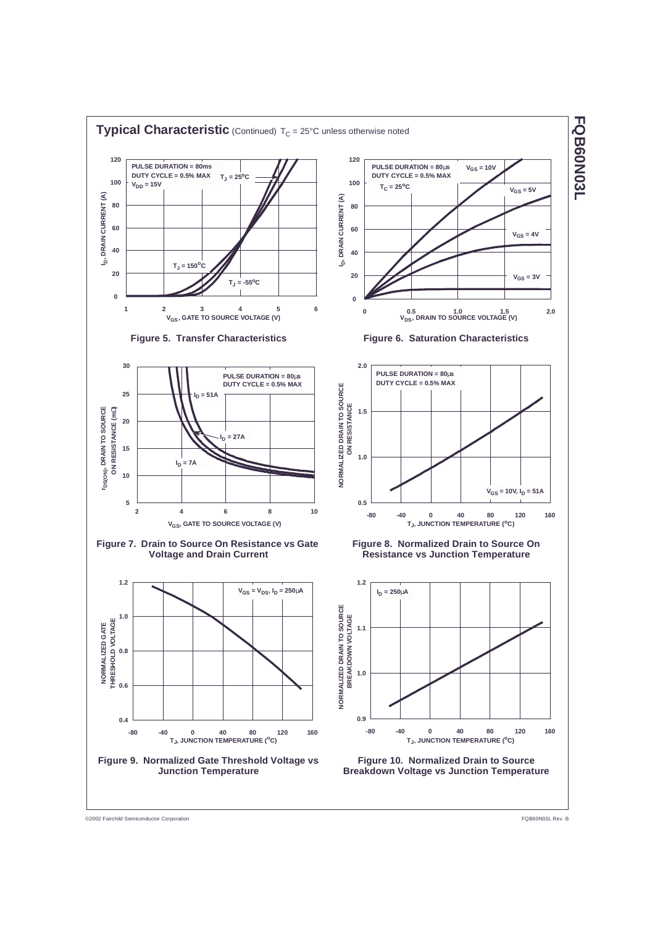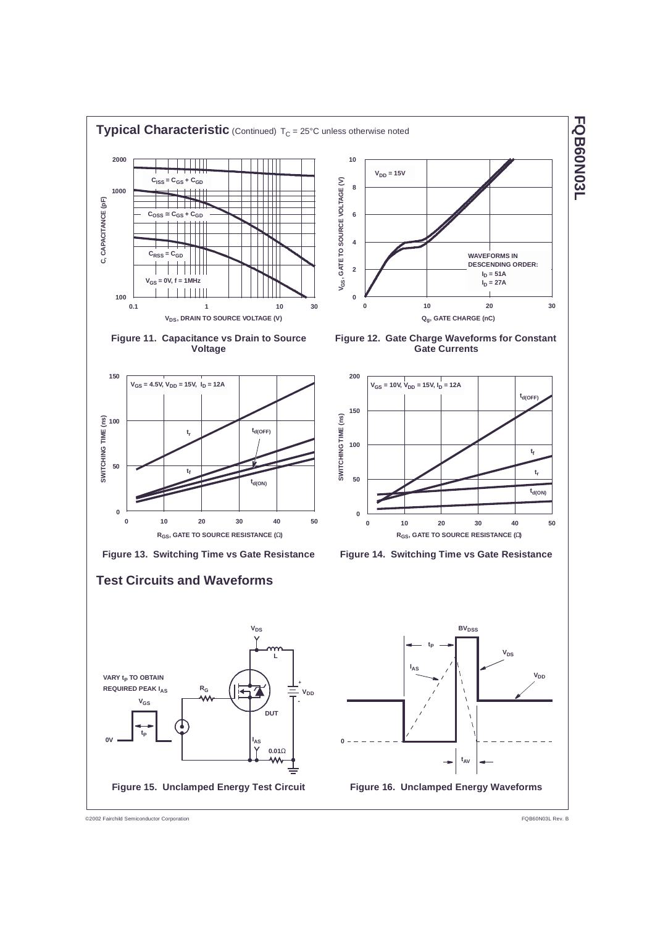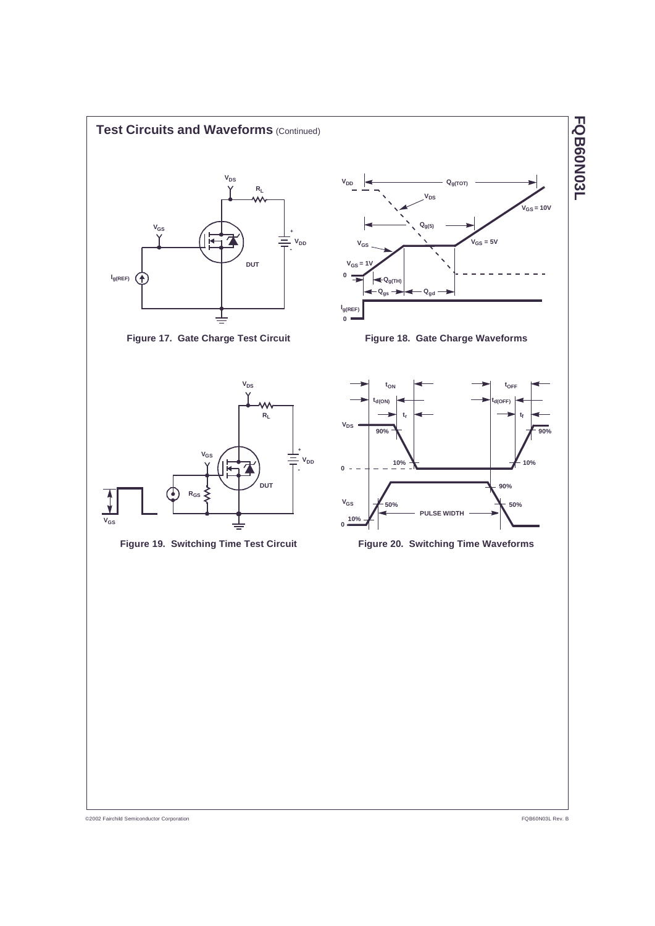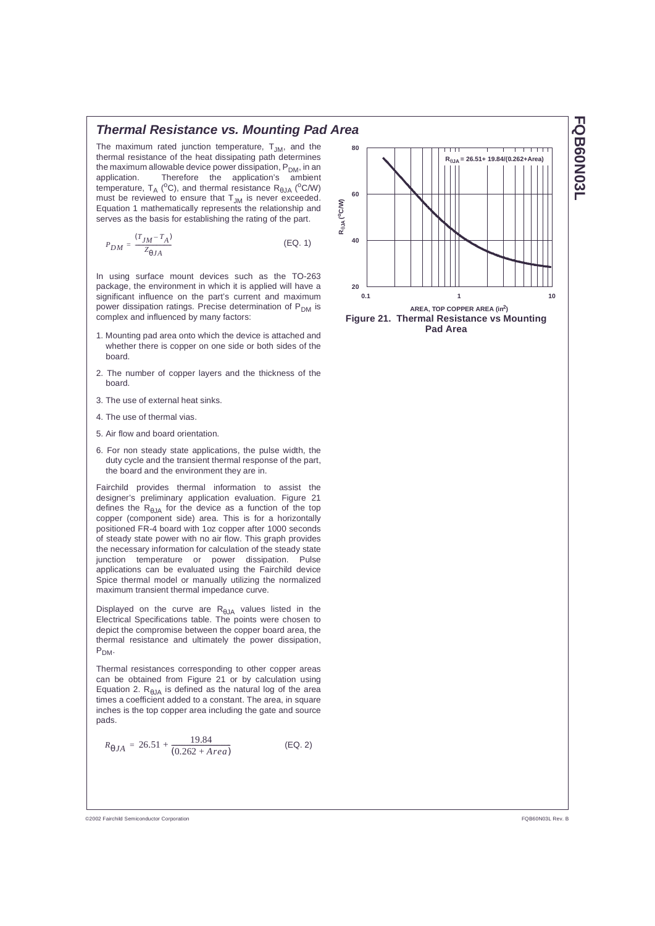# **Thermal Resistance vs. Mounting Pad Area**

The maximum rated junction temperature,  $T_{JM}$ , and the thermal resistance of the heat dissipating path determines the maximum allowable device power dissipation,  $P_{DM}$ , in an application. Therefore the application's ambient temperature,  $T_A$  (°C), and thermal resistance  $R_{A,IA}$  (°C/W) must be reviewed to ensure that  $T_{JM}$  is never exceeded. Equation 1 mathematically represents the relationship and serves as the basis for establishing the rating of the part.

$$
P_{DM} = \frac{(T_{JM} - T_A)}{Z_{\Theta JA}}\tag{Eq. 1}
$$

In using surface mount devices such as the TO-263 package, the environment in which it is applied will have a significant influence on the part's current and maximum power dissipation ratings. Precise determination of P<sub>DM</sub> is complex and influenced by many factors:

- 1. Mounting pad area onto which the device is attached and whether there is copper on one side or both sides of the hoard
- 2. The number of copper layers and the thickness of the hoard.
- 3. The use of external heat sinks.
- 4. The use of thermal vias.
- 5 Air flow and board orientation
- 6. For non steady state applications, the pulse width, the duty cycle and the transient thermal response of the part, the board and the environment they are in.

Fairchild provides thermal information to assist the designer's preliminary application evaluation. Figure 21 defines the  $R_{\theta JA}$  for the device as a function of the top copper (component side) area. This is for a horizontally positioned FR-4 board with 1oz copper after 1000 seconds of steady state power with no air flow. This graph provides the necessary information for calculation of the steady state junction temperature or power dissipation. Pulse applications can be evaluated using the Fairchild device Spice thermal model or manually utilizing the normalized maximum transient thermal impedance curve.

Displayed on the curve are  $R_{\theta$ JA values listed in the Electrical Specifications table. The points were chosen to depict the compromise between the copper board area, the thermal resistance and ultimately the power dissipation,  $P_{DM}$ 

Thermal resistances corresponding to other copper areas can be obtained from Figure 21 or by calculation using Equation 2.  $R_{\theta$ JA is defined as the natural log of the area times a coefficient added to a constant. The area, in square inches is the top copper area including the gate and source nads

$$
R_{\theta JA} = 26.51 + \frac{19.84}{(0.262 + Area)}
$$
 (EQ. 2)



**FQB60N03L** 

@2002 Fairchild Semiconductor Corporation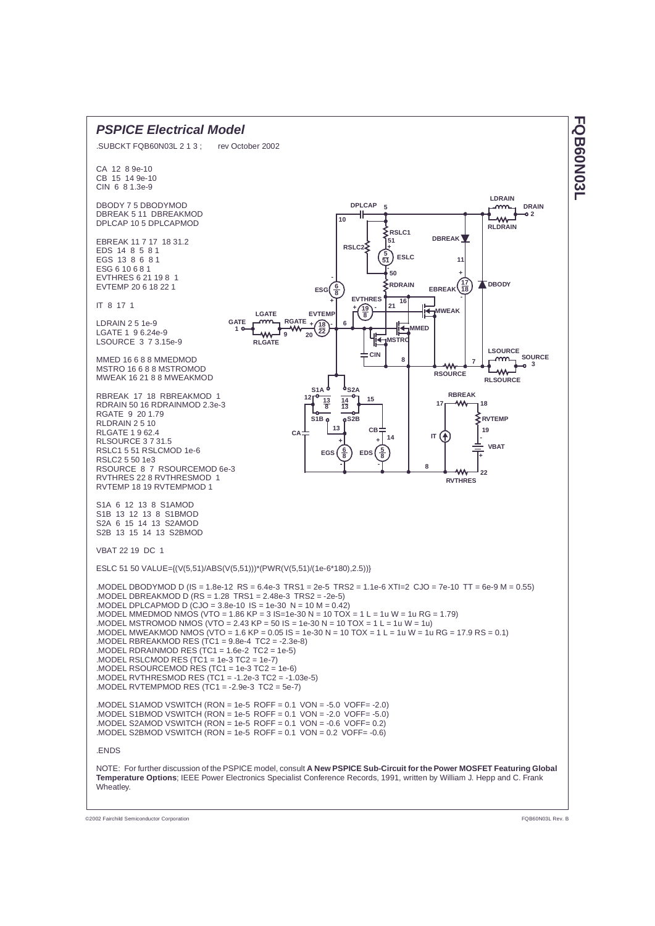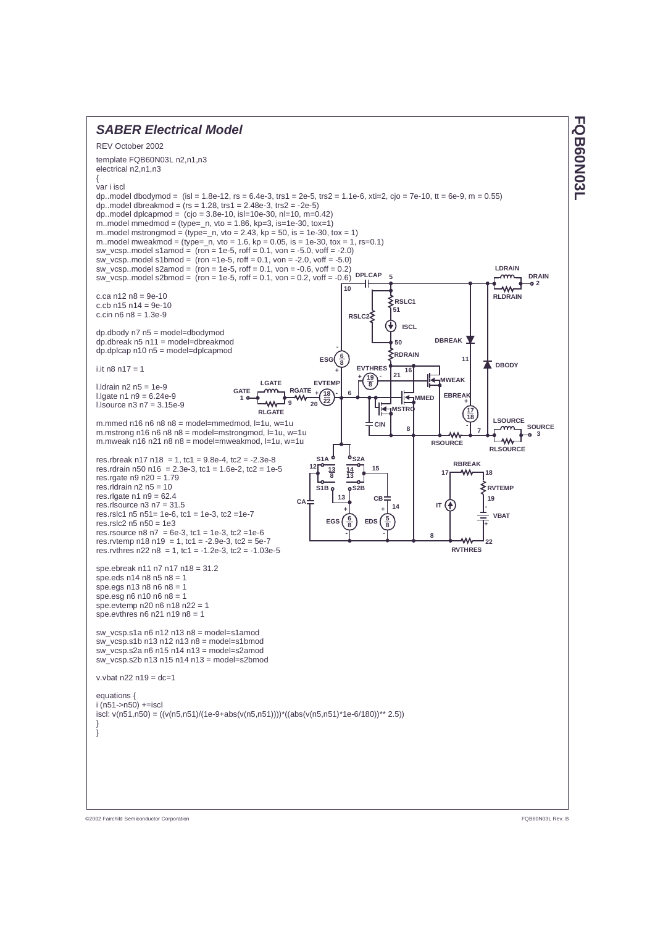

**FQB60N03L** 

©2002 Fairchild Semiconductor Corporation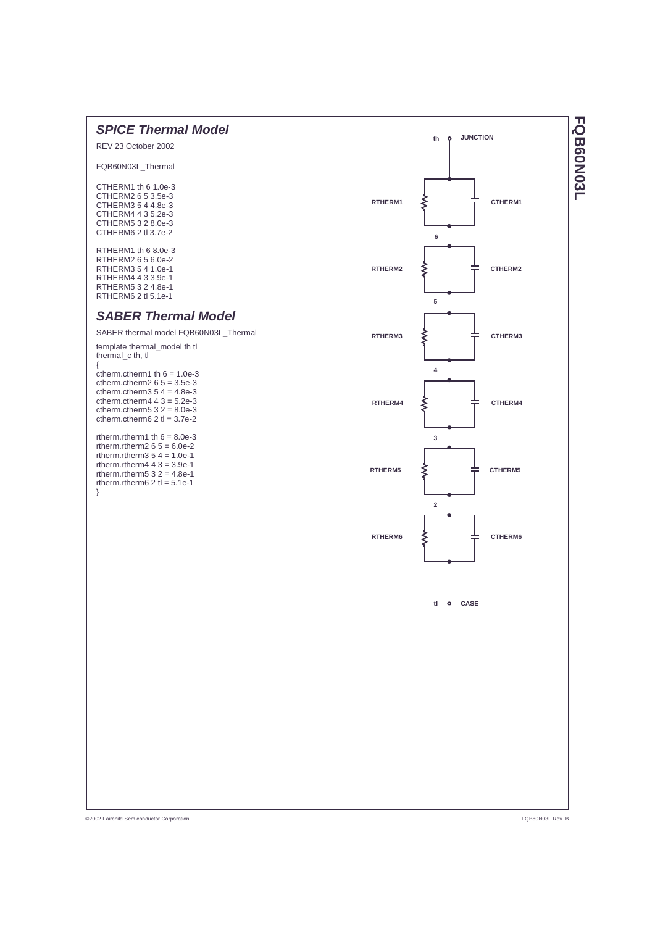

**FQB60N03L** 

@2002 Fairchild Semiconductor Corporation